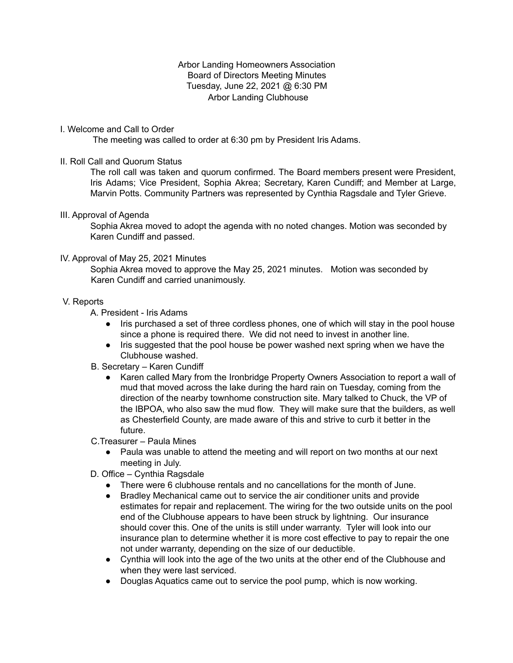## Arbor Landing Homeowners Association Board of Directors Meeting Minutes Tuesday, June 22, 2021 @ 6:30 PM Arbor Landing Clubhouse

# I. Welcome and Call to Order

The meeting was called to order at 6:30 pm by President Iris Adams.

# II. Roll Call and Quorum Status

The roll call was taken and quorum confirmed. The Board members present were President, Iris Adams; Vice President, Sophia Akrea; Secretary, Karen Cundiff; and Member at Large, Marvin Potts. Community Partners was represented by Cynthia Ragsdale and Tyler Grieve.

## III. Approval of Agenda

Sophia Akrea moved to adopt the agenda with no noted changes. Motion was seconded by Karen Cundiff and passed.

## IV. Approval of May 25, 2021 Minutes

Sophia Akrea moved to approve the May 25, 2021 minutes. Motion was seconded by Karen Cundiff and carried unanimously.

## V. Reports

A. President - Iris Adams

- Iris purchased a set of three cordless phones, one of which will stay in the pool house since a phone is required there. We did not need to invest in another line.
- Iris suggested that the pool house be power washed next spring when we have the Clubhouse washed.
- B. Secretary Karen Cundiff
	- Karen called Mary from the Ironbridge Property Owners Association to report a wall of mud that moved across the lake during the hard rain on Tuesday, coming from the direction of the nearby townhome construction site. Mary talked to Chuck, the VP of the IBPOA, who also saw the mud flow. They will make sure that the builders, as well as Chesterfield County, are made aware of this and strive to curb it better in the future.
- C.Treasurer Paula Mines
	- Paula was unable to attend the meeting and will report on two months at our next meeting in July.
- D. Office Cynthia Ragsdale
	- There were 6 clubhouse rentals and no cancellations for the month of June.
	- Bradley Mechanical came out to service the air conditioner units and provide estimates for repair and replacement. The wiring for the two outside units on the pool end of the Clubhouse appears to have been struck by lightning. Our insurance should cover this. One of the units is still under warranty. Tyler will look into our insurance plan to determine whether it is more cost effective to pay to repair the one not under warranty, depending on the size of our deductible.
	- Cynthia will look into the age of the two units at the other end of the Clubhouse and when they were last serviced.
	- Douglas Aquatics came out to service the pool pump, which is now working.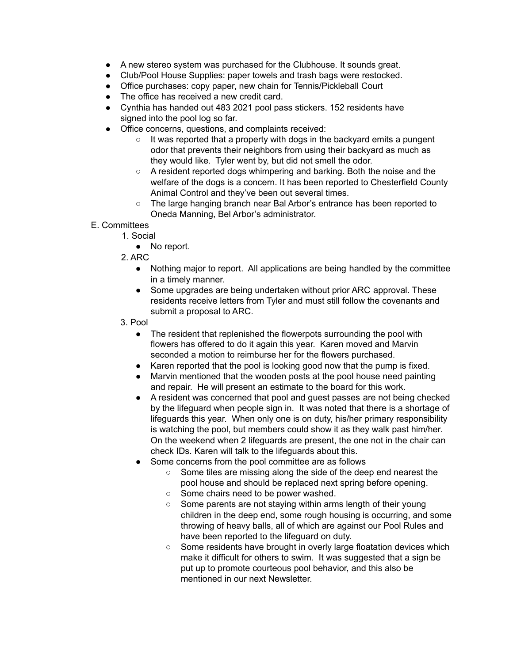- A new stereo system was purchased for the Clubhouse. It sounds great.
- Club/Pool House Supplies: paper towels and trash bags were restocked.
- Office purchases: copy paper, new chain for Tennis/Pickleball Court
- The office has received a new credit card.
- Cynthia has handed out 483 2021 pool pass stickers. 152 residents have signed into the pool log so far.
- Office concerns, questions, and complaints received:
	- It was reported that a property with dogs in the backyard emits a pungent odor that prevents their neighbors from using their backyard as much as they would like. Tyler went by, but did not smell the odor.
	- A resident reported dogs whimpering and barking. Both the noise and the welfare of the dogs is a concern. It has been reported to Chesterfield County Animal Control and they've been out several times.
	- The large hanging branch near Bal Arbor's entrance has been reported to Oneda Manning, Bel Arbor's administrator.
- E. Committees
	- 1. Social
		- No report.
	- 2. ARC
		- Nothing major to report. All applications are being handled by the committee in a timely manner.
		- Some upgrades are being undertaken without prior ARC approval. These residents receive letters from Tyler and must still follow the covenants and submit a proposal to ARC.
	- 3. Pool
		- The resident that replenished the flowerpots surrounding the pool with flowers has offered to do it again this year. Karen moved and Marvin seconded a motion to reimburse her for the flowers purchased.
		- Karen reported that the pool is looking good now that the pump is fixed.
		- Marvin mentioned that the wooden posts at the pool house need painting and repair. He will present an estimate to the board for this work.
		- A resident was concerned that pool and guest passes are not being checked by the lifeguard when people sign in. It was noted that there is a shortage of lifeguards this year. When only one is on duty, his/her primary responsibility is watching the pool, but members could show it as they walk past him/her. On the weekend when 2 lifeguards are present, the one not in the chair can check IDs. Karen will talk to the lifeguards about this.
		- Some concerns from the pool committee are as follows
			- Some tiles are missing along the side of the deep end nearest the pool house and should be replaced next spring before opening.
			- Some chairs need to be power washed.
			- Some parents are not staying within arms length of their young children in the deep end, some rough housing is occurring, and some throwing of heavy balls, all of which are against our Pool Rules and have been reported to the lifeguard on duty.
			- Some residents have brought in overly large floatation devices which make it difficult for others to swim. It was suggested that a sign be put up to promote courteous pool behavior, and this also be mentioned in our next Newsletter.